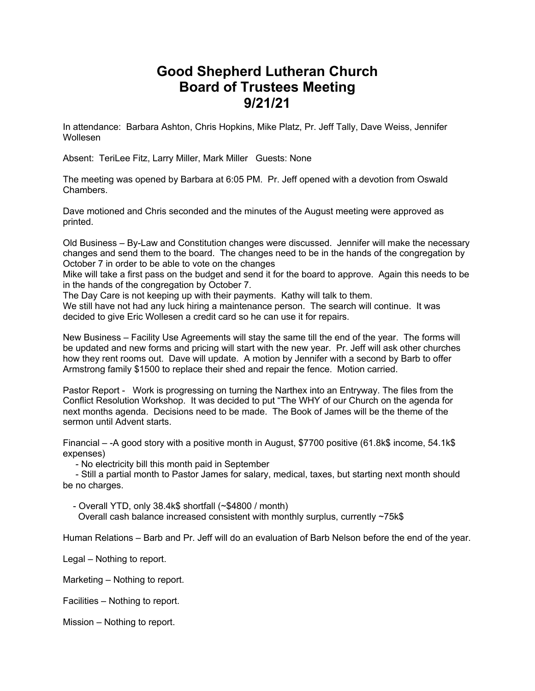## **Good Shepherd Lutheran Church Board of Trustees Meeting 9/21/21**

In attendance: Barbara Ashton, Chris Hopkins, Mike Platz, Pr. Jeff Tally, Dave Weiss, Jennifer Wollesen

Absent: TeriLee Fitz, Larry Miller, Mark Miller Guests: None

The meeting was opened by Barbara at 6:05 PM. Pr. Jeff opened with a devotion from Oswald **Chambers** 

Dave motioned and Chris seconded and the minutes of the August meeting were approved as printed.

Old Business – By-Law and Constitution changes were discussed. Jennifer will make the necessary changes and send them to the board. The changes need to be in the hands of the congregation by October 7 in order to be able to vote on the changes

Mike will take a first pass on the budget and send it for the board to approve. Again this needs to be in the hands of the congregation by October 7.

The Day Care is not keeping up with their payments. Kathy will talk to them.

We still have not had any luck hiring a maintenance person. The search will continue. It was decided to give Eric Wollesen a credit card so he can use it for repairs.

New Business – Facility Use Agreements will stay the same till the end of the year. The forms will be updated and new forms and pricing will start with the new year. Pr. Jeff will ask other churches how they rent rooms out. Dave will update. A motion by Jennifer with a second by Barb to offer Armstrong family \$1500 to replace their shed and repair the fence. Motion carried.

Pastor Report - Work is progressing on turning the Narthex into an Entryway. The files from the Conflict Resolution Workshop. It was decided to put "The WHY of our Church on the agenda for next months agenda. Decisions need to be made. The Book of James will be the theme of the sermon until Advent starts.

Financial – -A good story with a positive month in August, \$7700 positive (61.8k\$ income, 54.1k\$ expenses)

- No electricity bill this month paid in September

- Still a partial month to Pastor James for salary, medical, taxes, but starting next month should be no charges.

- Overall YTD, only 38.4k\$ shortfall (~\$4800 / month)

Overall cash balance increased consistent with monthly surplus, currently ~75k\$

Human Relations – Barb and Pr. Jeff will do an evaluation of Barb Nelson before the end of the year.

Legal – Nothing to report.

Marketing – Nothing to report.

Facilities – Nothing to report.

Mission – Nothing to report.